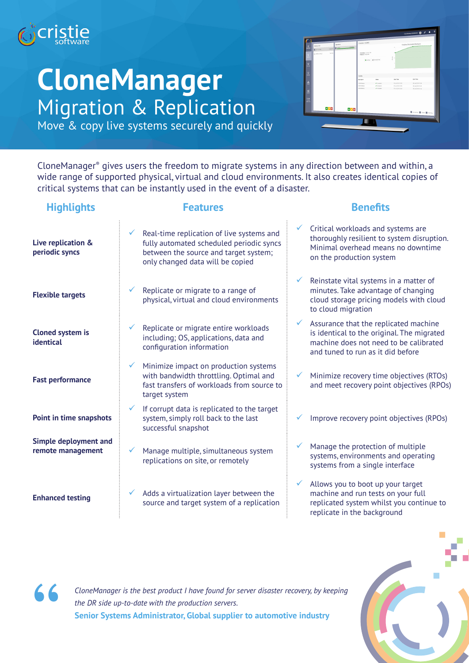

## **CloneManager** Migration & Replication



Move & copy live systems securely and quickly

CloneManager® gives users the freedom to migrate systems in any direction between and within, a wide range of supported physical, virtual and cloud environments. It also creates identical copies of critical systems that can be instantly used in the event of a disaster.

| <b>Highlights</b>                          | <b>Features</b>                                                                                                                                                    | <b>Benefits</b>                                                                                                                                                    |
|--------------------------------------------|--------------------------------------------------------------------------------------------------------------------------------------------------------------------|--------------------------------------------------------------------------------------------------------------------------------------------------------------------|
| Live replication &<br>periodic syncs       | Real-time replication of live systems and<br>fully automated scheduled periodic syncs<br>between the source and target system;<br>only changed data will be copied | Critical workloads and systems are<br>thoroughly resilient to system disruption.<br>Minimal overhead means no downtime<br>on the production system                 |
| <b>Flexible targets</b>                    | Replicate or migrate to a range of<br>physical, virtual and cloud environments                                                                                     | Reinstate vital systems in a matter of<br>minutes. Take advantage of changing<br>cloud storage pricing models with cloud<br>to cloud migration                     |
| <b>Cloned system is</b><br>identical       | Replicate or migrate entire workloads<br>including; OS, applications, data and<br>configuration information                                                        | Assurance that the replicated machine<br>is identical to the original. The migrated<br>machine does not need to be calibrated<br>and tuned to run as it did before |
| <b>Fast performance</b>                    | Minimize impact on production systems<br>with bandwidth throttling. Optimal and<br>fast transfers of workloads from source to<br>target system                     | Minimize recovery time objectives (RTOs)<br>and meet recovery point objectives (RPOs)                                                                              |
| Point in time snapshots                    | If corrupt data is replicated to the target<br>system, simply roll back to the last<br>successful snapshot                                                         | Improve recovery point objectives (RPOs)                                                                                                                           |
| Simple deployment and<br>remote management | Manage multiple, simultaneous system<br>replications on site, or remotely                                                                                          | Manage the protection of multiple<br>systems, environments and operating<br>systems from a single interface                                                        |
| <b>Enhanced testing</b>                    | Adds a virtualization layer between the<br>$\checkmark$<br>source and target system of a replication                                                               | Allows you to boot up your target<br>machine and run tests on your full<br>replicated system whilst you continue to<br>replicate in the background                 |





*CloneManager is the best product I have found for server disaster recovery, by keeping the DR side up-to-date with the production servers.* **Senior Systems Administrator, Global supplier to automotive industry**